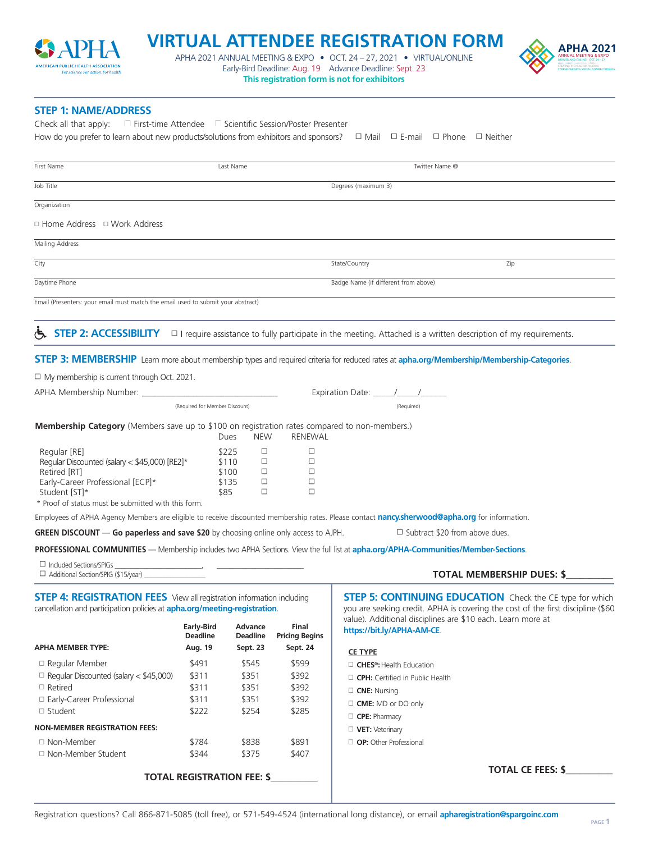

## **VIRTUAL ATTENDEE REGISTRATION FORM APHA 2021**

APHA 2021 ANNUAL MEETING & EXPO  $\bullet$  Oct. 24 – 27, 2021  $\bullet$  VIRTUAL/ONLINE  $\text{SFR}$  and  $\text{SFR}$  and  $\text{SFR}$  and  $\text{SFR}$  and  $\text{SFR}$  and  $\text{SFR}$  and  $\text{SFR}$  and  $\text{SFR}$  and  $\text{SFR}$  and  $\text{SFR}$  and  $\text{SFR}$  and  $\$ Early-Bird Deadline: Aug. 19 Advance Deadline: Sept. 23 **This registration form is not for exhibitors** 



## **STEP 1: NAME/ADDRESS**

How do you prefer to learn about new products/solutions from exhibitors and sponsors?  $\Box$  Mail  $\Box$  E-mail  $\Box$  Phone  $\Box$  Neither Check all that apply: N First-time Attendee N Scientific Session/Poster Presenter

| First Name                                                                                                                                                                                |                                      | Last Name                                                                   |                                | Twitter Name @                                                                                                                                                                                                    |
|-------------------------------------------------------------------------------------------------------------------------------------------------------------------------------------------|--------------------------------------|-----------------------------------------------------------------------------|--------------------------------|-------------------------------------------------------------------------------------------------------------------------------------------------------------------------------------------------------------------|
| Job Title                                                                                                                                                                                 |                                      |                                                                             |                                | Degrees (maximum 3)                                                                                                                                                                                               |
| Organization                                                                                                                                                                              |                                      |                                                                             |                                |                                                                                                                                                                                                                   |
| □ Home Address   □ Work Address                                                                                                                                                           |                                      |                                                                             |                                |                                                                                                                                                                                                                   |
| Mailing Address                                                                                                                                                                           |                                      |                                                                             |                                |                                                                                                                                                                                                                   |
| City                                                                                                                                                                                      |                                      |                                                                             |                                | State/Country<br>Zip                                                                                                                                                                                              |
| Daytime Phone                                                                                                                                                                             |                                      |                                                                             |                                | Badge Name (if different from above)                                                                                                                                                                              |
| Email (Presenters: your email must match the email used to submit your abstract)                                                                                                          |                                      |                                                                             |                                |                                                                                                                                                                                                                   |
| <b>STEP 2: ACCESSIBILITY</b>                                                                                                                                                              |                                      |                                                                             |                                | $\Box$ I require assistance to fully participate in the meeting. Attached is a written description of my requirements.                                                                                            |
|                                                                                                                                                                                           |                                      |                                                                             |                                | <b>STEP 3: MEMBERSHIP</b> Learn more about membership types and required criteria for reduced rates at apha.org/Membership/Membership-Categories.                                                                 |
|                                                                                                                                                                                           |                                      |                                                                             |                                |                                                                                                                                                                                                                   |
| $\Box$ My membership is current through Oct. 2021.                                                                                                                                        |                                      |                                                                             |                                |                                                                                                                                                                                                                   |
| (Required for Member Discount)                                                                                                                                                            |                                      |                                                                             |                                |                                                                                                                                                                                                                   |
|                                                                                                                                                                                           |                                      |                                                                             |                                | (Required)                                                                                                                                                                                                        |
| Membership Category (Members save up to \$100 on registration rates compared to non-members.)                                                                                             |                                      | <b>NEW</b><br>Dues                                                          | <b>RENEWAL</b>                 |                                                                                                                                                                                                                   |
| Regular [RE]<br>Regular Discounted (salary < \$45,000) [RE2]*<br>Retired [RT]<br>Early-Career Professional [ECP]*<br>Student [ST]*<br>* Proof of status must be submitted with this form. |                                      | \$225<br>□<br>$\Box$<br>\$110<br>$\Box$<br>\$100<br>\$135<br>□<br>\$85<br>□ | □<br>□<br>□<br>□<br>$\Box$     |                                                                                                                                                                                                                   |
|                                                                                                                                                                                           |                                      |                                                                             |                                | Employees of APHA Agency Members are eligible to receive discounted membership rates. Please contact nancy.sherwood@apha.org for information.                                                                     |
| <b>GREEN DISCOUNT — Go paperless and save \$20</b> by choosing online only access to AJPH.                                                                                                |                                      |                                                                             |                                | $\Box$ Subtract \$20 from above dues.                                                                                                                                                                             |
|                                                                                                                                                                                           |                                      |                                                                             |                                | PROFESSIONAL COMMUNITIES - Membership includes two APHA Sections. View the full list at apha.org/APHA-Communities/Member-Sections.                                                                                |
| $\Box$ Included Sections/SPIGs<br>$\Box$ Additional Section/SPIG (\$15/year) _                                                                                                            |                                      |                                                                             |                                | <b>TOTAL MEMBERSHIP DUES: \$</b>                                                                                                                                                                                  |
| <b>STEP 4: REGISTRATION FEES</b> View all registration information including<br>cancellation and participation policies at apha.org/meeting-registration.                                 |                                      |                                                                             |                                | <b>STEP 5: CONTINUING EDUCATION</b> Check the CE type for which<br>you are seeking credit. APHA is covering the cost of the first discipline (\$60<br>value). Additional disciplines are \$10 each. Learn more at |
|                                                                                                                                                                                           | <b>Early-Bird</b><br><b>Deadline</b> | Advance<br><b>Deadline</b>                                                  | Final<br><b>Pricing Begins</b> | https://bit.ly/APHA-AM-CE.                                                                                                                                                                                        |
| <b>APHA MEMBER TYPE:</b>                                                                                                                                                                  | Aug. 19                              | Sept. 23                                                                    | Sept. 24                       | <b>CE TYPE</b>                                                                                                                                                                                                    |
| □ Regular Member                                                                                                                                                                          | \$491                                | \$545                                                                       | \$599                          | $\Box$ CHES <sup>®</sup> : Health Education                                                                                                                                                                       |
| $\Box$ Regular Discounted (salary < \$45,000)                                                                                                                                             | \$311                                | \$351                                                                       | \$392                          | $\Box$ CPH: Certified in Public Health                                                                                                                                                                            |
| $\Box$ Retired                                                                                                                                                                            | \$311                                | \$351                                                                       | \$392                          | $\Box$ CNE: Nursing                                                                                                                                                                                               |
| □ Early-Career Professional                                                                                                                                                               | \$311                                | \$351                                                                       | \$392                          | $\Box$ CME: MD or DO only                                                                                                                                                                                         |
| $\Box$ Student                                                                                                                                                                            | \$222                                | \$254                                                                       | \$285                          | $\Box$ CPE: Pharmacy                                                                                                                                                                                              |
| <b>NON-MEMBER REGISTRATION FEES:</b>                                                                                                                                                      |                                      |                                                                             |                                | $\Box$ VET: Veterinary                                                                                                                                                                                            |
| □ Non-Member                                                                                                                                                                              | \$784                                | \$838                                                                       | \$891                          | $\Box$ OP: Other Professional                                                                                                                                                                                     |
| □ Non-Member Student                                                                                                                                                                      | \$344                                | \$375                                                                       | \$407                          |                                                                                                                                                                                                                   |
| TOTAL BECICTBATION FEE.                                                                                                                                                                   |                                      |                                                                             |                                | <b>TOTAL CE FEES: \$</b>                                                                                                                                                                                          |

**TOTAL REGISTRATION FEE: \$\_\_\_\_\_\_\_\_\_\_**